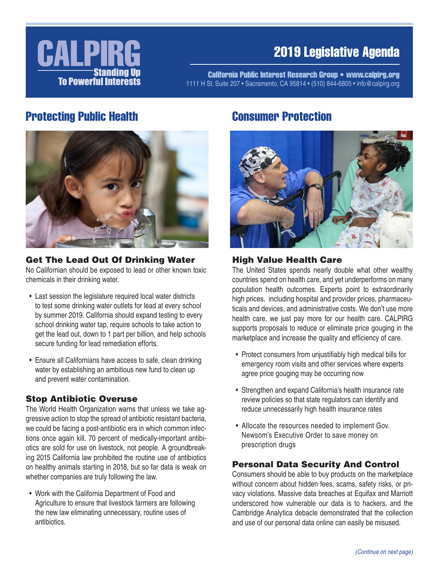

# 2019 Legislative Agenda

California Public Interest Research Group • www.calpirg.org 1111 H St. Suite 207 • Sacramento, CA 95814 • (510) 844-6805 • info@calpirg.org

## Protecting Public Health



# Get The Lead Out Of Drinking Water

No Californian should be exposed to lead or other known toxic chemicals in their drinking water.

- Last session the legislature required local water districts to test some drinking water outlets for lead at every school by summer 2019. California should expand testing to every school drinking water tap, require schools to take action to get the lead out, down to 1 part per billion, and help schools secure funding for lead remediation efforts.
- Ensure all Californians have access to safe, clean drinking water by establishing an ambitious new fund to clean up and prevent water contamination.

#### Stop Antibiotic Overuse

The World Health Organization warns that unless we take aggressive action to stop the spread of antibiotic resistant bacteria, we could be facing a post-antibiotic era in which common infections once again kill. 70 percent of medically-important antibiotics are sold for use on livestock, not people. A groundbreaking 2015 California law prohibited the routine use of antibiotics on healthy animals starting in 2018, but so far data is weak on whether companies are truly following the law.

• Work with the California Department of Food and Agriculture to ensure that livestock farmers are following the new law eliminating unnecessary, routine uses of antibiotics.

## Consumer Protection



#### High Value Health Care

The United States spends nearly double what other wealthy countries spend on health care, and yet underperforms on many population health outcomes. Experts point to extraordinarily high prices, including hospital and provider prices, pharmaceuticals and devices, and administrative costs. We don't use more health care, we just pay more for our health care. CALPIRG supports proposals to reduce or eliminate price gouging in the marketplace and increase the quality and efficiency of care.

- Protect consumers from unjustifiably high medical bills for emergency room visits and other services where experts agree price gouging may be occurring now
- Strengthen and expand California's health insurance rate review policies so that state regulators can identify and reduce unnecessarily high health insurance rates
- Allocate the resources needed to implement Gov. Newsom's Executive Order to save money on prescription drugs

#### Personal Data Security And Control

Consumers should be able to buy products on the marketplace without concern about hidden fees, scams, safety risks, or privacy violations. Massive data breaches at Equifax and Marriott underscored how vulnerable our data is to hackers, and the Cambridge Analytica debacle demonstrated that the collection and use of our personal data online can easily be misused.